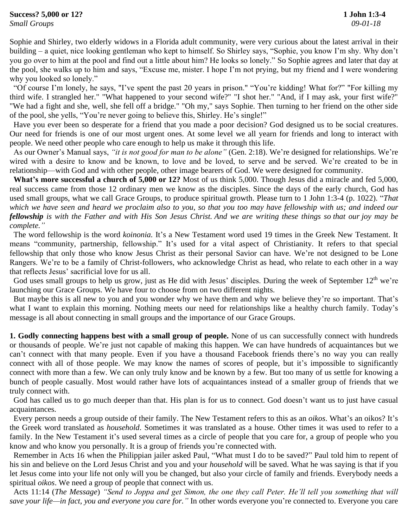Sophie and Shirley, two elderly widows in a Florida adult community, were very curious about the latest arrival in their building – a quiet, nice looking gentleman who kept to himself. So Shirley says, "Sophie, you know I'm shy. Why don't you go over to him at the pool and find out a little about him? He looks so lonely." So Sophie agrees and later that day at the pool, she walks up to him and says, "Excuse me, mister. I hope I'm not prying, but my friend and I were wondering why you looked so lonely."

 "Of course I'm lonely, he says, "I've spent the past 20 years in prison." "You're kidding! What for?" "For killing my third wife. I strangled her." "What happened to your second wife?" "I shot her." "And, if I may ask, your first wife?" "We had a fight and she, well, she fell off a bridge." "Oh my," says Sophie. Then turning to her friend on the other side of the pool, she yells, "You're never going to believe this, Shirley. He's single!"

 Have you ever been so desperate for a friend that you made a poor decision? God designed us to be social creatures. Our need for friends is one of our most urgent ones. At some level we all yearn for friends and long to interact with people. We need other people who care enough to help us make it through this life.

 As our Owner's Manual says, *"it is not good for man to be alone"* (Gen. 2:18). We're designed for relationships. We're wired with a desire to know and be known, to love and be loved, to serve and be served. We're created to be in relationship—with God and with other people, other image bearers of God. We were designed for community.

 **What's more successful a church of 5,000 or 12?** Most of us think 5,000. Though Jesus did a miracle and fed 5,000, real success came from those 12 ordinary men we know as the disciples. Since the days of the early church, God has used small groups, what we call Grace Groups, to produce spiritual growth. Please turn to 1 John 1:3-4 (p. 1022). "*That which we have seen and heard we proclaim also to you, so that you too may have fellowship with us; and indeed our fellowship is with the Father and with His Son Jesus Christ. And we are writing these things so that our joy may be complete."*

 The word fellowship is the word *koinonia.* It's a New Testament word used 19 times in the Greek New Testament. It means "community, partnership, fellowship." It's used for a vital aspect of Christianity. It refers to that special fellowship that only those who know Jesus Christ as their personal Savior can have. We're not designed to be Lone Rangers. We're to be a family of Christ-followers, who acknowledge Christ as head, who relate to each other in a way that reflects Jesus' sacrificial love for us all.

God uses small groups to help us grow, just as He did with Jesus' disciples. During the week of September 12<sup>th</sup> we're launching our Grace Groups. We have four to choose from on two different nights.

 But maybe this is all new to you and you wonder why we have them and why we believe they're so important. That's what I want to explain this morning. Nothing meets our need for relationships like a healthy church family. Today's message is all about connecting in small groups and the importance of our Grace Groups.

**1. Godly connecting happens best with a small group of people.** None of us can successfully connect with hundreds or thousands of people. We're just not capable of making this happen. We can have hundreds of acquaintances but we can't connect with that many people. Even if you have a thousand Facebook friends there's no way you can really connect with all of those people. We may know the names of scores of people, but it's impossible to significantly connect with more than a few. We can only truly know and be known by a few. But too many of us settle for knowing a bunch of people casually. Most would rather have lots of acquaintances instead of a smaller group of friends that we truly connect with.

 God has called us to go much deeper than that. His plan is for us to connect. God doesn't want us to just have casual acquaintances.

Every person needs a group outside of their family. The New Testament refers to this as an *oikos*. What's an oikos? It's the Greek word translated as *household*. Sometimes it was translated as a house. Other times it was used to refer to a family. In the New Testament it's used several times as a circle of people that you care for, a group of people who you know and who know you personally. It is a group of friends you're connected with.

 Remember in Acts 16 when the Philippian jailer asked Paul, "What must I do to be saved?" Paul told him to repent of his sin and believe on the Lord Jesus Christ and you and your *household* will be saved. What he was saying is that if you let Jesus come into your life not only will you be changed, but also your circle of family and friends. Everybody needs a spiritual *oikos*. We need a group of people that connect with us.

 Acts 11:14 (*The Message*) *"Send to Joppa and get Simon, the one they call Peter. He'll tell you something that will save your life—in fact, you and everyone you care for."* In other words everyone you're connected to. Everyone you care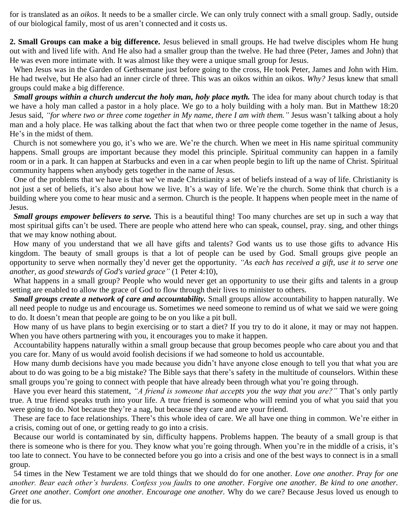for is translated as an *oikos*. It needs to be a smaller circle. We can only truly connect with a small group. Sadly, outside of our biological family, most of us aren't connected and it costs us.

**2. Small Groups can make a big difference.** Jesus believed in small groups. He had twelve disciples whom He hung out with and lived life with. And He also had a smaller group than the twelve. He had three (Peter, James and John) that He was even more intimate with. It was almost like they were a unique small group for Jesus.

 When Jesus was in the Garden of Gethsemane just before going to the cross, He took Peter, James and John with Him. He had twelve, but He also had an inner circle of three. This was an oikos within an oikos. *Why?* Jesus knew that small groups could make a big difference.

 *Small groups within a church undercut the holy man, holy place myth.* The idea for many about church today is that we have a holy man called a pastor in a holy place. We go to a holy building with a holy man. But in Matthew 18:20 Jesus said, *"for where two or three come together in My name, there I am with them."* Jesus wasn't talking about a holy man and a holy place. He was talking about the fact that when two or three people come together in the name of Jesus, He's in the midst of them.

 Church is not somewhere you go, it's who we are. We're the church. When we meet in His name spiritual community happens. Small groups are important because they model this principle. Spiritual community can happen in a family room or in a park. It can happen at Starbucks and even in a car when people begin to lift up the name of Christ. Spiritual community happens when anybody gets together in the name of Jesus.

 One of the problems that we have is that we've made Christianity a set of beliefs instead of a way of life. Christianity is not just a set of beliefs, it's also about how we live. It's a way of life. We're the church. Some think that church is a building where you come to hear music and a sermon. Church is the people. It happens when people meet in the name of Jesus.

 *Small groups empower believers to serve.* This is a beautiful thing! Too many churches are set up in such a way that most spiritual gifts can't be used. There are people who attend here who can speak, counsel, pray. sing, and other things that we may know nothing about.

 How many of you understand that we all have gifts and talents? God wants us to use those gifts to advance His kingdom. The beauty of small groups is that a lot of people can be used by God. Small groups give people an opportunity to serve when normally they'd never get the opportunity. *"As each has received a gift, use it to serve one another, as good stewards of God's varied grace"* (1 Peter 4:10),

What happens in a small group? People who would never get an opportunity to use their gifts and talents in a group setting are enabled to allow the grace of God to flow through their lives to minister to others.

 *Small groups create a network of care and accountability.* Small groups allow accountability to happen naturally. We all need people to nudge us and encourage us. Sometimes we need someone to remind us of what we said we were going to do. It doesn't mean that people are going to be on you like a pit bull.

 How many of us have plans to begin exercising or to start a diet? If you try to do it alone, it may or may not happen. When you have others partnering with you, it encourages you to make it happen.

 Accountability happens naturally within a small group because that group becomes people who care about you and that you care for. Many of us would avoid foolish decisions if we had someone to hold us accountable.

 How many dumb decisions have you made because you didn't have anyone close enough to tell you that what you are about to do was going to be a big mistake? The Bible says that there's safety in the multitude of counselors. Within these small groups you're going to connect with people that have already been through what you're going through.

 Have you ever heard this statement, *"A friend is someone that accepts you the way that you are?"* That's only partly true. A true friend speaks truth into your life. A true friend is someone who will remind you of what you said that you were going to do. Not because they're a nag, but because they care and are your friend.

 These are face to face relationships. There's this whole idea of care. We all have one thing in common. We're either in a crisis, coming out of one, or getting ready to go into a crisis.

 Because our world is contaminated by sin, difficulty happens. Problems happen. The beauty of a small group is that there is someone who is there for you. They know what you're going through. When you're in the middle of a crisis, it's too late to connect. You have to be connected before you go into a crisis and one of the best ways to connect is in a small group.

 54 times in the New Testament we are told things that we should do for one another. *Love one another. Pray for one another. Bear each other's burdens. Confess you faults to one another. Forgive one another. Be kind to one another. Greet one another. Comfort one another. Encourage one another.* Why do we care? Because Jesus loved us enough to die for us.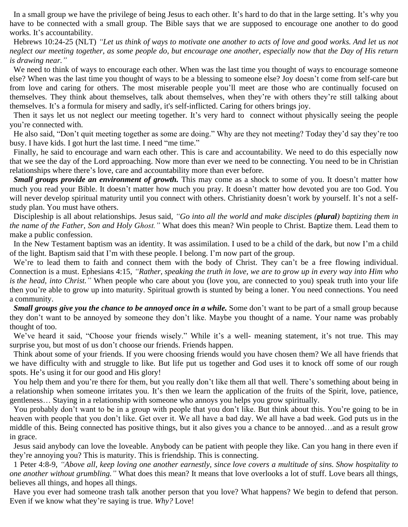In a small group we have the privilege of being Jesus to each other. It's hard to do that in the large setting. It's why you have to be connected with a small group. The Bible says that we are supposed to encourage one another to do good works. It's accountability.

 Hebrews 10:24-25 (NLT) *"Let us think of ways to motivate one another to acts of love and good works. And let us not neglect our meeting together, as some people do, but encourage one another, especially now that the Day of His return is drawing near."*

We need to think of ways to encourage each other. When was the last time you thought of ways to encourage someone else? When was the last time you thought of ways to be a blessing to someone else? Joy doesn't come from self-care but from love and caring for others. The most miserable people you'll meet are those who are continually focused on themselves. They think about themselves, talk about themselves, when they're with others they're still talking about themselves. It's a formula for misery and sadly, it's self-inflicted. Caring for others brings joy.

 Then it says let us not neglect our meeting together. It's very hard to connect without physically seeing the people you're connected with.

 He also said, "Don't quit meeting together as some are doing." Why are they not meeting? Today they'd say they're too busy. I have kids. I got hurt the last time. I need "me time."

 Finally, he said to encourage and warn each other. This is care and accountability. We need to do this especially now that we see the day of the Lord approaching. Now more than ever we need to be connecting. You need to be in Christian relationships where there's love, care and accountability more than ever before.

 *Small groups provide an environment of growth.* This may come as a shock to some of you. It doesn't matter how much you read your Bible. It doesn't matter how much you pray. It doesn't matter how devoted you are too God. You will never develop spiritual maturity until you connect with others. Christianity doesn't work by yourself. It's not a selfstudy plan. You must have others.

 Discipleship is all about relationships. Jesus said, *"Go into all the world and make disciples (plural) baptizing them in the name of the Father, Son and Holy Ghost."* What does this mean? Win people to Christ. Baptize them. Lead them to make a public confession.

 In the New Testament baptism was an identity. It was assimilation. I used to be a child of the dark, but now I'm a child of the light. Baptism said that I'm with these people. I belong. I'm now part of the group.

We're to lead them to faith and connect them with the body of Christ. They can't be a free flowing individual. Connection is a must. Ephesians 4:15, *"Rather, speaking the truth in love, we are to grow up in every way into Him who is the head, into Christ."* When people who care about you (love you, are connected to you) speak truth into your life then you're able to grow up into maturity. Spiritual growth is stunted by being a loner. You need connections. You need a community.

 *Small groups give you the chance to be annoyed once in a while.* Some don't want to be part of a small group because they don't want to be annoyed by someone they don't like. Maybe you thought of a name. Your name was probably thought of too.

We've heard it said, "Choose your friends wisely." While it's a well- meaning statement, it's not true. This may surprise you, but most of us don't choose our friends. Friends happen.

 Think about some of your friends. If you were choosing friends would you have chosen them? We all have friends that we have difficulty with and struggle to like. But life put us together and God uses it to knock off some of our rough spots. He's using it for our good and His glory!

 You help them and you're there for them, but you really don't like them all that well. There's something about being in a relationship when someone irritates you. It's then we learn the application of the fruits of the Spirit, love, patience, gentleness… Staying in a relationship with someone who annoys you helps you grow spiritually.

You probably don't want to be in a group with people that you don't like. But think about this. You're going to be in heaven with people that you don't like. Get over it. We all have a bad day. We all have a bad week. God puts us in the middle of this. Being connected has positive things, but it also gives you a chance to be annoyed…and as a result grow in grace.

 Jesus said anybody can love the loveable. Anybody can be patient with people they like. Can you hang in there even if they're annoying you? This is maturity. This is friendship. This is connecting.

 1 Peter 4:8-9, *"Above all, keep loving one another earnestly, since love covers a multitude of sins. Show hospitality to one another without grumbling."* What does this mean? It means that love overlooks a lot of stuff. Love bears all things, believes all things, and hopes all things.

 Have you ever had someone trash talk another person that you love? What happens? We begin to defend that person. Even if we know what they're saying is true. *Why?* Love!